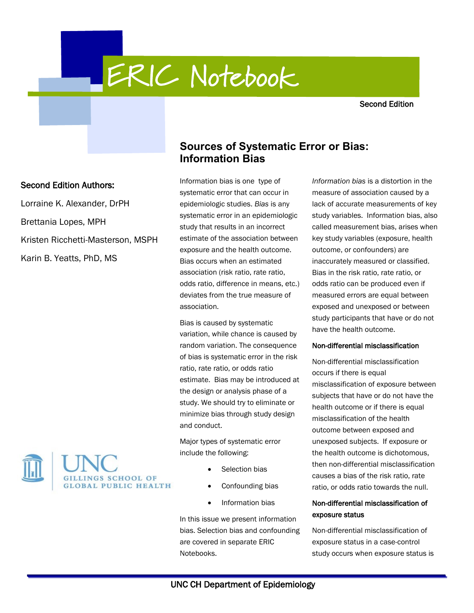**ERIC Notebook** 

Second Edition

# **Sources of Systematic Error or Bias: Information Bias**

Information bias is one type of systematic error that can occur in epidemiologic studies. *Bias* is any systematic error in an epidemiologic study that results in an incorrect estimate of the association between exposure and the health outcome. Bias occurs when an estimated association (risk ratio, rate ratio, odds ratio, difference in means, etc.) deviates from the true measure of association.

Bias is caused by systematic variation, while chance is caused by random variation. The consequence of bias is systematic error in the risk ratio, rate ratio, or odds ratio estimate. Bias may be introduced at the design or analysis phase of a study. We should try to eliminate or minimize bias through study design and conduct.

Major types of systematic error include the following:

- Selection bias
- Confounding bias
- Information bias

In this issue we present information bias. Selection bias and confounding are covered in separate ERIC Notebooks.

*Information bias* is a distortion in the measure of association caused by a lack of accurate measurements of key study variables. Information bias, also called measurement bias, arises when key study variables (exposure, health outcome, or confounders) are inaccurately measured or classified. Bias in the risk ratio, rate ratio, or odds ratio can be produced even if measured errors are equal between exposed and unexposed or between study participants that have or do not have the health outcome.

### Non-differential misclassification

Non-differential misclassification occurs if there is equal misclassification of exposure between subjects that have or do not have the health outcome or if there is equal misclassification of the health outcome between exposed and unexposed subjects. If exposure or the health outcome is dichotomous, then non-differential misclassification causes a bias of the risk ratio, rate ratio, or odds ratio towards the null.

# Non-differential misclassification of exposure status

Non-differential misclassification of exposure status in a case-control study occurs when exposure status is

# Second Edition Authors:

Lorraine K. Alexander, DrPH Brettania Lopes, MPH Kristen Ricchetti-Masterson, MSPH Karin B. Yeatts, PhD, MS

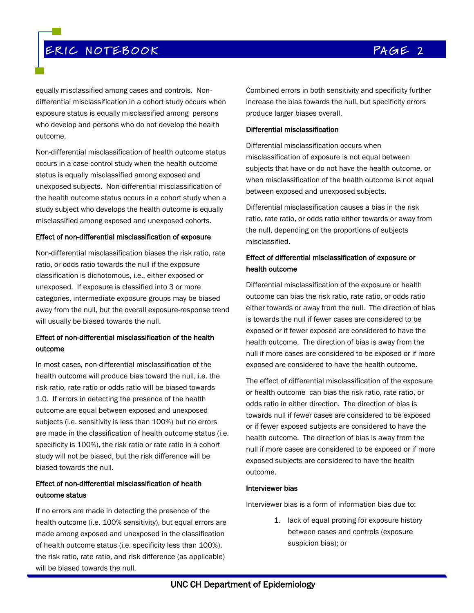# ERIC NOTEBOOK COMPUTER CONTROL COMPAGE 2

equally misclassified among cases and controls. Nondifferential misclassification in a cohort study occurs when exposure status is equally misclassified among persons who develop and persons who do not develop the health outcome.

Non-differential misclassification of health outcome status occurs in a case-control study when the health outcome status is equally misclassified among exposed and unexposed subjects. Non-differential misclassification of the health outcome status occurs in a cohort study when a study subject who develops the health outcome is equally misclassified among exposed and unexposed cohorts.

### Effect of non-differential misclassification of exposure

Non-differential misclassification biases the risk ratio, rate ratio, or odds ratio towards the null if the exposure classification is dichotomous, i.e., either exposed or unexposed. If exposure is classified into 3 or more categories, intermediate exposure groups may be biased away from the null, but the overall exposure-response trend will usually be biased towards the null.

# Effect of non-differential misclassification of the health outcome

In most cases, non-differential misclassification of the health outcome will produce bias toward the null, i.e. the risk ratio, rate ratio or odds ratio will be biased towards 1.0. If errors in detecting the presence of the health outcome are equal between exposed and unexposed subjects (i.e. sensitivity is less than 100%) but no errors are made in the classification of health outcome status (i.e. specificity is 100%), the risk ratio or rate ratio in a cohort study will not be biased, but the risk difference will be biased towards the null.

# Effect of non-differential misclassification of health outcome status

If no errors are made in detecting the presence of the health outcome (i.e. 100% sensitivity), but equal errors are made among exposed and unexposed in the classification of health outcome status (i.e. specificity less than 100%), the risk ratio, rate ratio, and risk difference (as applicable) will be biased towards the null.

Combined errors in both sensitivity and specificity further increase the bias towards the null, but specificity errors produce larger biases overall.

### Differential misclassification

Differential misclassification occurs when misclassification of exposure is not equal between subjects that have or do not have the health outcome, or when misclassification of the health outcome is not equal between exposed and unexposed subjects.

Differential misclassification causes a bias in the risk ratio, rate ratio, or odds ratio either towards or away from the null, depending on the proportions of subjects misclassified.

# Effect of differential misclassification of exposure or health outcome

Differential misclassification of the exposure or health outcome can bias the risk ratio, rate ratio, or odds ratio either towards or away from the null. The direction of bias is towards the null if fewer cases are considered to be exposed or if fewer exposed are considered to have the health outcome. The direction of bias is away from the null if more cases are considered to be exposed or if more exposed are considered to have the health outcome.

The effect of differential misclassification of the exposure or health outcome can bias the risk ratio, rate ratio, or odds ratio in either direction. The direction of bias is towards null if fewer cases are considered to be exposed or if fewer exposed subjects are considered to have the health outcome. The direction of bias is away from the null if more cases are considered to be exposed or if more exposed subjects are considered to have the health outcome.

### Interviewer bias

Interviewer bias is a form of information bias due to:

1. lack of equal probing for exposure history between cases and controls (exposure suspicion bias); or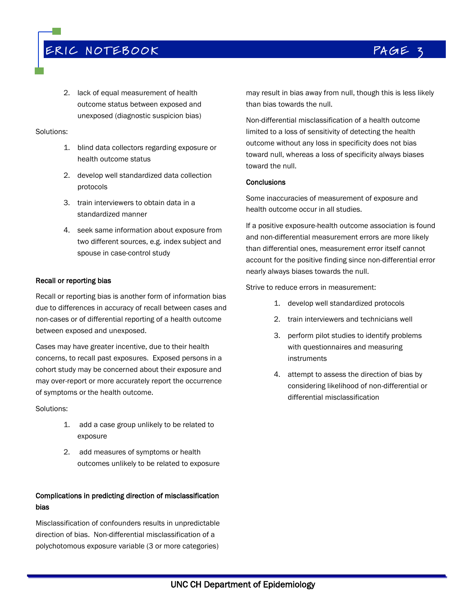# ERIC NOTEBOOK COMPAGE 3

2. lack of equal measurement of health outcome status between exposed and unexposed (diagnostic suspicion bias)

### Solutions:

- 1. blind data collectors regarding exposure or health outcome status
- 2. develop well standardized data collection protocols
- 3. train interviewers to obtain data in a standardized manner
- 4. seek same information about exposure from two different sources, e.g. index subject and spouse in case-control study

# Recall or reporting bias

Recall or reporting bias is another form of information bias due to differences in accuracy of recall between cases and non-cases or of differential reporting of a health outcome between exposed and unexposed.

Cases may have greater incentive, due to their health concerns, to recall past exposures. Exposed persons in a cohort study may be concerned about their exposure and may over-report or more accurately report the occurrence of symptoms or the health outcome.

Solutions:

- 1. add a case group unlikely to be related to exposure
- 2. add measures of symptoms or health outcomes unlikely to be related to exposure

# Complications in predicting direction of misclassification bias

Misclassification of confounders results in unpredictable direction of bias. Non-differential misclassification of a polychotomous exposure variable (3 or more categories)

may result in bias away from null, though this is less likely than bias towards the null.

Non-differential misclassification of a health outcome limited to a loss of sensitivity of detecting the health outcome without any loss in specificity does not bias toward null, whereas a loss of specificity always biases toward the null.

### **Conclusions**

Some inaccuracies of measurement of exposure and health outcome occur in all studies.

If a positive exposure-health outcome association is found and non-differential measurement errors are more likely than differential ones, measurement error itself cannot account for the positive finding since non-differential error nearly always biases towards the null.

Strive to reduce errors in measurement:

- 1. develop well standardized protocols
- 2. train interviewers and technicians well
- 3. perform pilot studies to identify problems with questionnaires and measuring instruments
- 4. attempt to assess the direction of bias by considering likelihood of non-differential or differential misclassification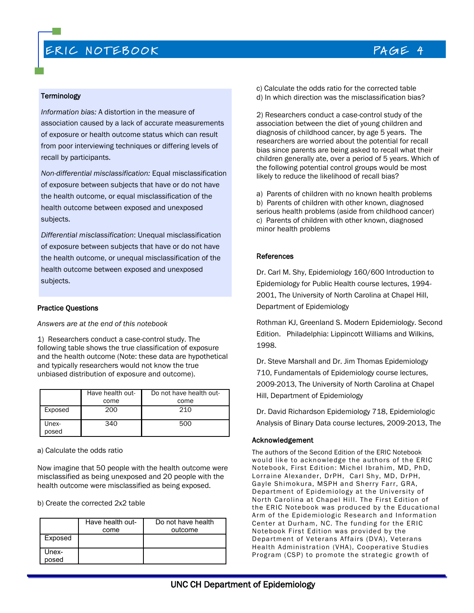# ERIC NOTEBOOK AND THE RAGE 4

### **Terminology**

*Information bias:* A distortion in the measure of association caused by a lack of accurate measurements of exposure or health outcome status which can result from poor interviewing techniques or differing levels of recall by participants.

*Non-differential misclassification:* Equal misclassification of exposure between subjects that have or do not have the health outcome, or equal misclassification of the health outcome between exposed and unexposed subjects.

*Differential misclassification*: Unequal misclassification of exposure between subjects that have or do not have the health outcome, or unequal misclassification of the health outcome between exposed and unexposed subjects.

### Practice Questions

*Answers are at the end of this notebook*

1) Researchers conduct a case-control study. The following table shows the true classification of exposure and the health outcome (Note: these data are hypothetical and typically researchers would not know the true unbiased distribution of exposure and outcome).

|                | Have health out- | Do not have health out- |
|----------------|------------------|-------------------------|
|                | come             | come                    |
| Exposed        | 200              | 210                     |
| Unex-<br>posed | 340              | 500                     |

a) Calculate the odds ratio

Now imagine that 50 people with the health outcome were misclassified as being unexposed and 20 people with the health outcome were misclassified as being exposed.

b) Create the corrected 2x2 table

|                | Have health out-<br>come | Do not have health<br>outcome |
|----------------|--------------------------|-------------------------------|
| Exposed        |                          |                               |
| Unex-<br>posed |                          |                               |

### c) Calculate the odds ratio for the corrected table d) In which direction was the misclassification bias?

2) Researchers conduct a case-control study of the association between the diet of young children and diagnosis of childhood cancer, by age 5 years. The researchers are worried about the potential for recall bias since parents are being asked to recall what their children generally ate, over a period of 5 years. Which of the following potential control groups would be most likely to reduce the likelihood of recall bias?

a) Parents of children with no known health problems b) Parents of children with other known, diagnosed serious health problems (aside from childhood cancer) c) Parents of children with other known, diagnosed minor health problems

### References

Dr. Carl M. Shy, Epidemiology 160/600 Introduction to Epidemiology for Public Health course lectures, 1994- 2001, The University of North Carolina at Chapel Hill, Department of Epidemiology

Rothman KJ, Greenland S. Modern Epidemiology. Second Edition. Philadelphia: Lippincott Williams and Wilkins, 1998.

Dr. Steve Marshall and Dr. Jim Thomas Epidemiology 710, Fundamentals of Epidemiology course lectures, 2009-2013, The University of North Carolina at Chapel Hill, Department of Epidemiology

Dr. David Richardson Epidemiology 718, Epidemiologic Analysis of Binary Data course lectures, 2009-2013, The

### Acknowledgement

The authors of the Second Edition of the ERIC Notebook would like to acknowledge the authors of the ERIC Notebook, First Edition: Michel Ibrahim, MD, PhD, Lorraine Alexander, DrPH, Carl Shy, MD, DrPH, Gayle Shimokura, MSPH and Sherry Farr, GRA, Department of Epidemiology at the University of North Carolina at Chapel Hill. The First Edition of the ERIC Notebook was produced by the Educational Arm of the Epidemiologic Research and Information Center at Durham, NC. The funding for the ERIC Notebook First Edition was provided by the Department of Veterans Affairs (DVA), Veterans Health Administration (VHA), Cooperative Studies Program (CSP) to promote the strategic growth of